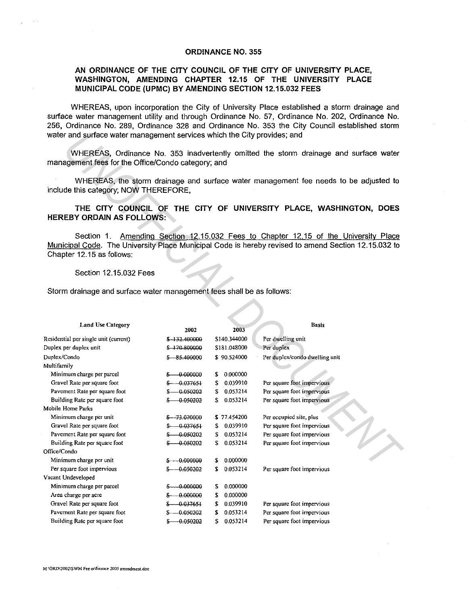## ORDINANCE NO. 355

## AN ORDINANCE OF THE CITY COUNCIL OF THE CITY OF UNIVERSITY PLACE, WASHINGTON, AMENDING CHAPTER 12.15 OF THE UNIVERSITY PLACE MUNICIPAL CODE (UPMC) BY AMENDING SECTION 12.15.032 FEES

WHEREAS, upon incorporation the City of University Place established a storm drainage and surface water management utility and through Ordinance No. 57, Ordinance No. 202, Ordinance No. 256, Ordinance No. 289, Ordinance 328 and Ordinance No. 353 the City Council established storm water and surface water management services which the City provides; and

| water and surface water management services which the City provides; and                                                                                                                                                   |                 |                |                                |  |  |  |  |  |
|----------------------------------------------------------------------------------------------------------------------------------------------------------------------------------------------------------------------------|-----------------|----------------|--------------------------------|--|--|--|--|--|
| WHEREAS, Ordinance No. 353 inadvertently omitted the storm drainage and surface water<br>management fees for the Office/Condo category; and                                                                                |                 |                |                                |  |  |  |  |  |
| WHEREAS, the storm drainage and surface water management fee needs to be adjusted to<br>include this category, NOW THEREFORE,                                                                                              |                 |                |                                |  |  |  |  |  |
| THE CITY COUNCIL OF THE CITY OF UNIVERSITY PLACE, WASHINGTON, DOES<br><b>HEREBY ORDAIN AS FOLLOWS:</b>                                                                                                                     |                 |                |                                |  |  |  |  |  |
| Amending Section 12.15.032 Fees to Chapter 12.15 of the University Place<br>Section 1.<br>Municipal Code. The University Place Municipal Code is hereby revised to amend Section 12.15.032 to<br>Chapter 12.15 as follows: |                 |                |                                |  |  |  |  |  |
| Section 12.15.032 Fees                                                                                                                                                                                                     |                 |                |                                |  |  |  |  |  |
| Storm drainage and surface water management fees shall be as follows:                                                                                                                                                      |                 |                |                                |  |  |  |  |  |
|                                                                                                                                                                                                                            |                 |                |                                |  |  |  |  |  |
| <b>Land Use Category</b>                                                                                                                                                                                                   | 2002            | 2003           | <b>Basis</b>                   |  |  |  |  |  |
| Residential per single unit (current)                                                                                                                                                                                      | \$-132.400000   | \$140.344000   | Per dwelling unit              |  |  |  |  |  |
| Duplex per duplex unit                                                                                                                                                                                                     | \$-170.800000   | \$181.048000   | Per duplex                     |  |  |  |  |  |
| Duplex/Condo                                                                                                                                                                                                               | \$ 85.400000    | \$90.524000    | Per duplex/condo dwelling unit |  |  |  |  |  |
| Multifamily                                                                                                                                                                                                                |                 |                |                                |  |  |  |  |  |
| Minimum charge per parcel                                                                                                                                                                                                  | $$ -0.000000$   | \$ 0.000000    |                                |  |  |  |  |  |
| Gravel Rate per square foot                                                                                                                                                                                                | $$-.0.037651$   | 0.039910<br>\$ | Per square foot impervious     |  |  |  |  |  |
| Pavement Rate per square foot                                                                                                                                                                                              | $$-.0.050202$   | 0.053214<br>S. | Per square foot impervious     |  |  |  |  |  |
| Building Rate per square foot                                                                                                                                                                                              | $$-.0.050202$   | S.<br>0.053214 | Per square foot impervious     |  |  |  |  |  |
| Mobile Home Parks                                                                                                                                                                                                          |                 |                |                                |  |  |  |  |  |
| Minimum charge per unit                                                                                                                                                                                                    | \$ -- 73.070000 | \$77.454200    | Per occupied site, plus        |  |  |  |  |  |
| Gravel Rate per square foot                                                                                                                                                                                                | $$-.0.037651$   | 0.039910<br>S. | Per square foot impervious     |  |  |  |  |  |
| Pavement Rate per square foot                                                                                                                                                                                              | $$-.0.050202$   | 0.053214<br>\$ | Per square foot impervious     |  |  |  |  |  |
| Building Rate per square foot                                                                                                                                                                                              | $$-.050202$     | 0.053214<br>S. | Per square foot impervious     |  |  |  |  |  |
| Office/Condo                                                                                                                                                                                                               |                 |                |                                |  |  |  |  |  |
| Minimum charge per unit                                                                                                                                                                                                    | $$-.000000$     | 0.000000<br>S. |                                |  |  |  |  |  |
| Per square foot impervious                                                                                                                                                                                                 | $$-.0.050202$   | 0.053214<br>\$ | Per square foot impervious     |  |  |  |  |  |
| Vacant Undeveloped                                                                                                                                                                                                         |                 |                |                                |  |  |  |  |  |
| Minimum charge per parcel                                                                                                                                                                                                  | $$-.0.00000$    | 0.000000<br>S. |                                |  |  |  |  |  |
| Area charge per acre                                                                                                                                                                                                       | $$-.000000$     | 0.000000<br>\$ |                                |  |  |  |  |  |
| Gravel Rate per square foot                                                                                                                                                                                                | $$-.0.037651$   | 0.039910<br>S  | Per square foot impervious     |  |  |  |  |  |
| Pavement Rate per square foot                                                                                                                                                                                              | $$-.0.050202$   | \$<br>0.053214 | Per square foot impervious     |  |  |  |  |  |
| Building Rate per square foot                                                                                                                                                                                              | $$-.0.050202$   | \$0.053214     | Per square foot impervious     |  |  |  |  |  |